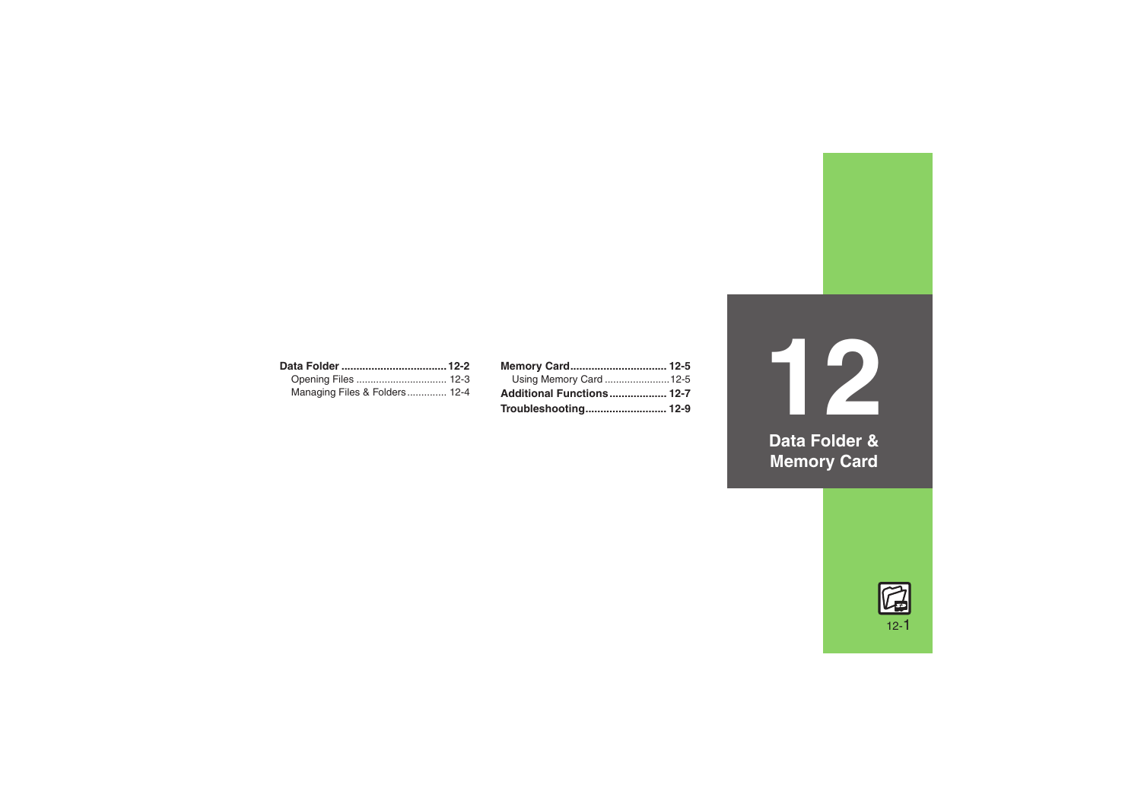| Managing Files & Folders 12-4 |  |
|-------------------------------|--|

| Memory Card 12-5          |  |
|---------------------------|--|
| Using Memory Card 12-5    |  |
| Additional Functions 12-7 |  |
|                           |  |

**12Data Folder & Memory Card**

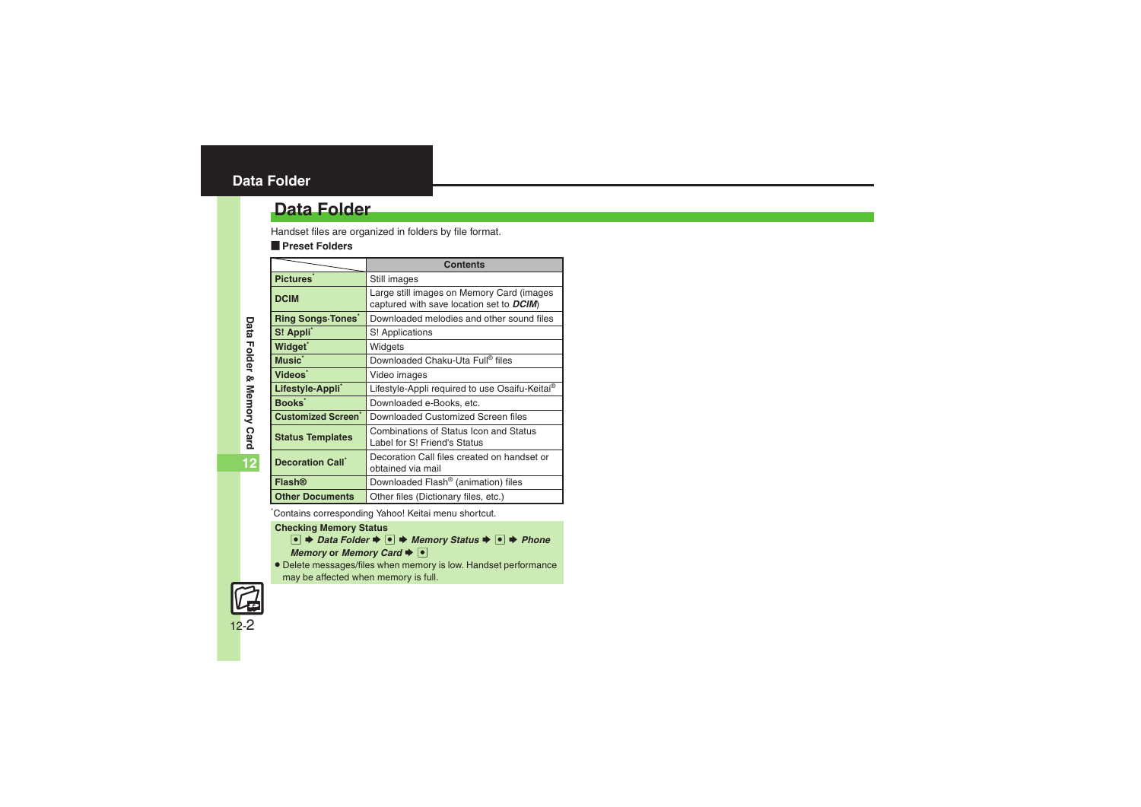# <span id="page-1-0"></span>**Data Folder**

# **Data Folder**

Handset files are organized in folders by file format.

#### [ **Preset Folders**

|                            | <b>Contents</b>                                                                       |
|----------------------------|---------------------------------------------------------------------------------------|
| Pictures <sup>*</sup>      | Still images                                                                          |
| <b>DCIM</b>                | Large still images on Memory Card (images<br>captured with save location set to DCIM) |
| <b>Ring Songs Tones</b>    | Downloaded melodies and other sound files                                             |
| S! Appli                   | S! Applications                                                                       |
| Widget <sup>*</sup>        | Widgets                                                                               |
| Music <sup>*</sup>         | Downloaded Chaku-Uta Full <sup>®</sup> files                                          |
| Videos <sup>*</sup>        | Video images                                                                          |
| Lifestyle-Appli            | Lifestyle-Appli required to use Osaifu-Keitai®                                        |
| Books <sup>*</sup>         | Downloaded e-Books, etc.                                                              |
| <b>Customized Screen</b> * | Downloaded Customized Screen files                                                    |
| <b>Status Templates</b>    | Combinations of Status Icon and Status<br>Label for S! Friend's Status                |
| <b>Decoration Call</b>     | Decoration Call files created on handset or<br>obtained via mail                      |
| <b>Flash®</b>              | Downloaded Flash <sup>®</sup> (animation) files                                       |
| <b>Other Documents</b>     | Other files (Dictionary files, etc.)                                                  |

\*Contains corresponding Yahoo! Keitai menu shortcut.

#### **Checking Memory Status**

- *■* $\rightarrow$  **Data Folder**  $\rightarrow$  **●**  $\rightarrow$  Memory Status  $\rightarrow$  **●**  $\rightarrow$  Phone *Memory* or *Memory* Card  $\rightarrow$   $\boxed{\bullet}$
- . Delete messages/files when memory is low. Handset performance may be affected when memory is full.



**12**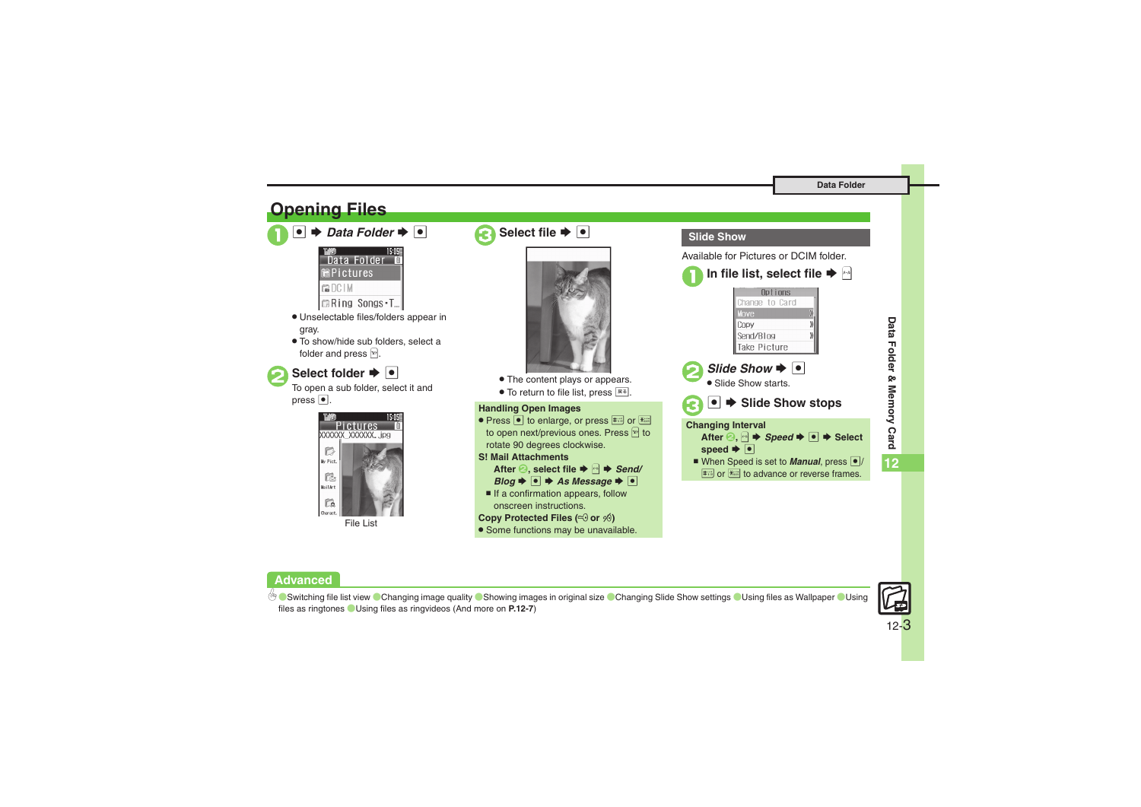<span id="page-2-0"></span>

### **Advanced**

C[Switching file list view](#page-6-1) [Changing image quality](#page-6-2) C[Showing images in original size](#page-6-3) [Changing Slide Show settings](#page-6-4) C[Using files as Wallpaper](#page-6-5) CUsing [files as ringtones](#page-6-6) ([Using files as ringvideos](#page-6-7) (And more on **[P.12-7](#page-6-1)**)



**Data Folder & Memory Card**

Data Folder & Memory Card

**12**

12-3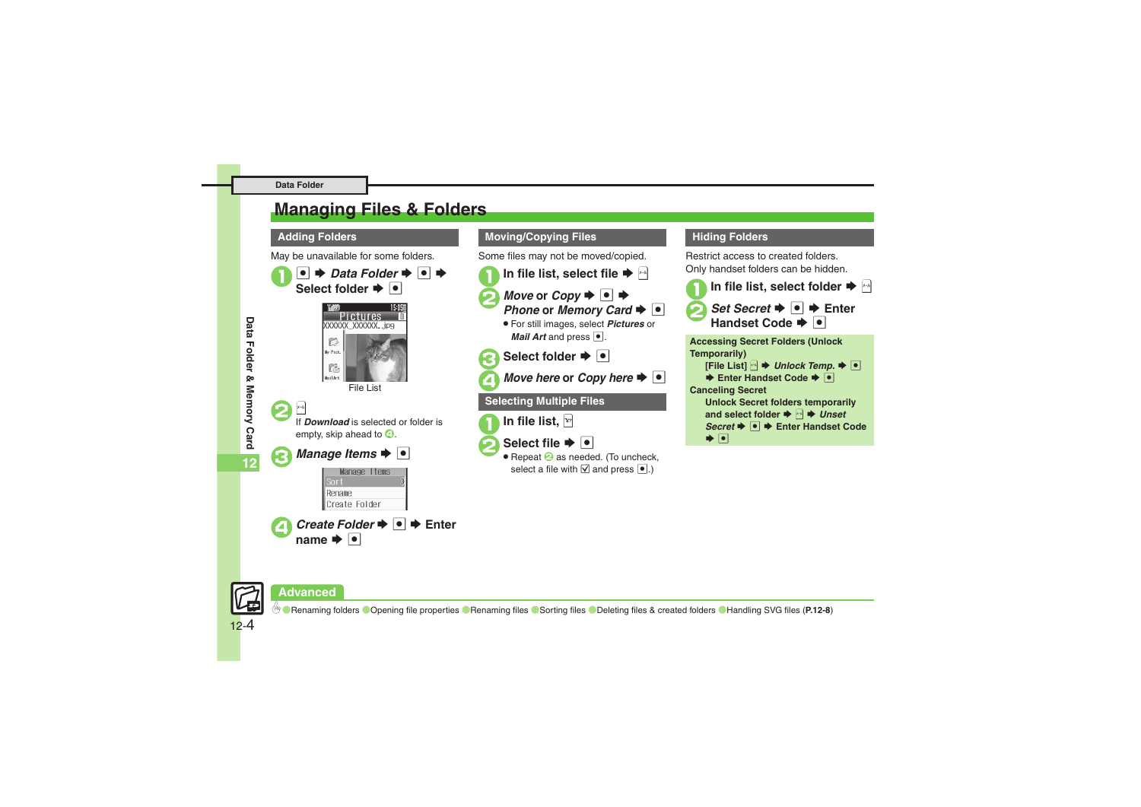# <span id="page-3-0"></span>**Managing Files & Folders**

### **Adding Folders**

May be unavailable for some folders.



| <b>Moving/Copying Files</b>                                                                                                                                                                                                                                                                                                                                             | <b>Hiding Folders</b>                                                                                                                                                                                                          |
|-------------------------------------------------------------------------------------------------------------------------------------------------------------------------------------------------------------------------------------------------------------------------------------------------------------------------------------------------------------------------|--------------------------------------------------------------------------------------------------------------------------------------------------------------------------------------------------------------------------------|
| Some files may not be moved/copied.<br>In file list, select file $\blacktriangleright$ $\blacktriangleright$<br>Move or Copy $\blacktriangleright$ $\blacktriangleright$ $\blacktriangleright$<br>Phone or Memory Card $\blacktriangleright$ $\blacktriangleright$<br><b>•</b> For still images, select <i>Pictures</i> or<br><i>Mail Art</i> and press $  \bullet  $ . | Restrict access to created folders.<br>Only handset folders can be hidden.<br>In file list, select folder⊥<br>Set Secret $\blacktriangleright$ $ \bullet $ $\blacktriangleright$ Enter<br>Handset Code →  •                    |
| Select folder $\blacktriangleright$ $ \bullet $<br>Move here or Copy here $\blacktriangleright$ $\blacktriangleright$                                                                                                                                                                                                                                                   | <b>Accessing Secret Folders (Unlock</b><br><b>Temporarily)</b><br>[File List] $\blacktriangleright$ $\blacktriangleright$ Unlock Temp. $\blacktriangleright$<br><b>▶ Enter Handset Code ▶  •</b><br><b>Canceling Secret</b>    |
| <b>Selecting Multiple Files</b><br>In file list, $\mathbb{F}$                                                                                                                                                                                                                                                                                                           | Unlock Secret folders temporar<br>and select folder $\blacktriangleright$ $\blacktriangleright$ $\blacktriangleright$ Unset<br>Secret $\blacktriangleright \lceil \bullet \rceil$ $\blacktriangleright$ Enter Handset (<br>∙∣∙ |
| Select file $\blacktriangleright$ $ \bullet $<br>● Repeat 2 as needed. (To uncheck,<br>select a file with $\boxtimes$ and press $\bullet$ .)                                                                                                                                                                                                                            |                                                                                                                                                                                                                                |







12-4

## **Advanced**

name  $\blacktriangleright$   $\lvert \bullet \rvert$ 

0([Renaming folders](#page-7-0) ([Opening file properties](#page-7-1) ([Renaming files](#page-7-2) ([Sorting files](#page-7-3) ([Deleting files & created folders](#page-7-4) ([Handling SVG files](#page-7-5) (**[P.12-8](#page-7-1)**)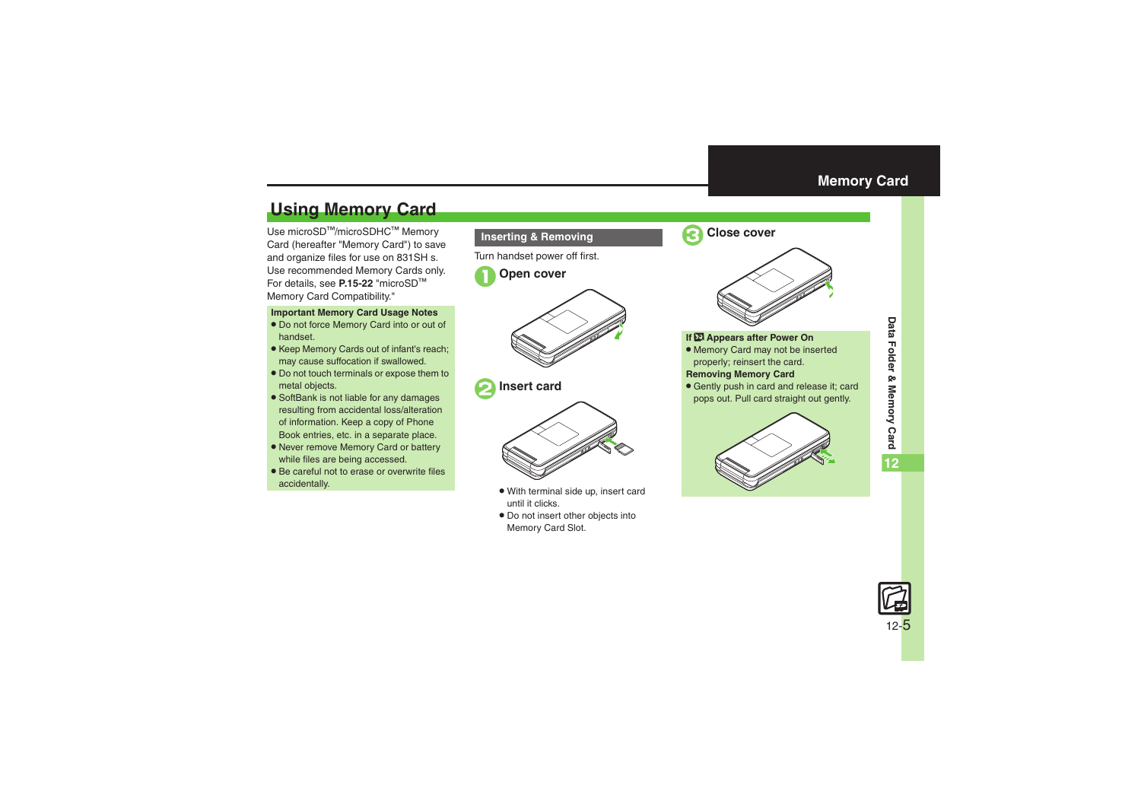# <span id="page-4-1"></span>**Using Memory Card**

Use microSD<sup>™/</sup>microSDHC™ Memory Card (hereafter "Memory Card") to save and organize files for use on 831SH s. Use recommended Memory Cards only. For details, see **P.15-22** "microSD<sup>=</sup> Memory Card Compatibility."

#### **Important Memory Card Usage Notes**

- . Do not force Memory Card into or out of handset.
- Keep Memory Cards out of infant's reach; may cause suffocation if swallowed.
- . Do not touch terminals or expose them to metal objects.
- SoftBank is not liable for any damages resulting from accidental loss/alteration of information. Keep a copy of Phone Book entries, etc. in a separate place.
- . Never remove Memory Card or battery while files are being accessed.
- . Be careful not to erase or overwrite files accidentally.



- . With terminal side up, insert card until it clicks.
- . Do not insert other objects into Memory Card Slot.

<span id="page-4-0"></span>



**If**  $\overline{23}$  **Appears after Power On** 

. Memory Card may not be inserted properly; reinsert the card.

#### **Removing Memory Card**

. Gently push in card and release it; card pops out. Pull card straight out gently.



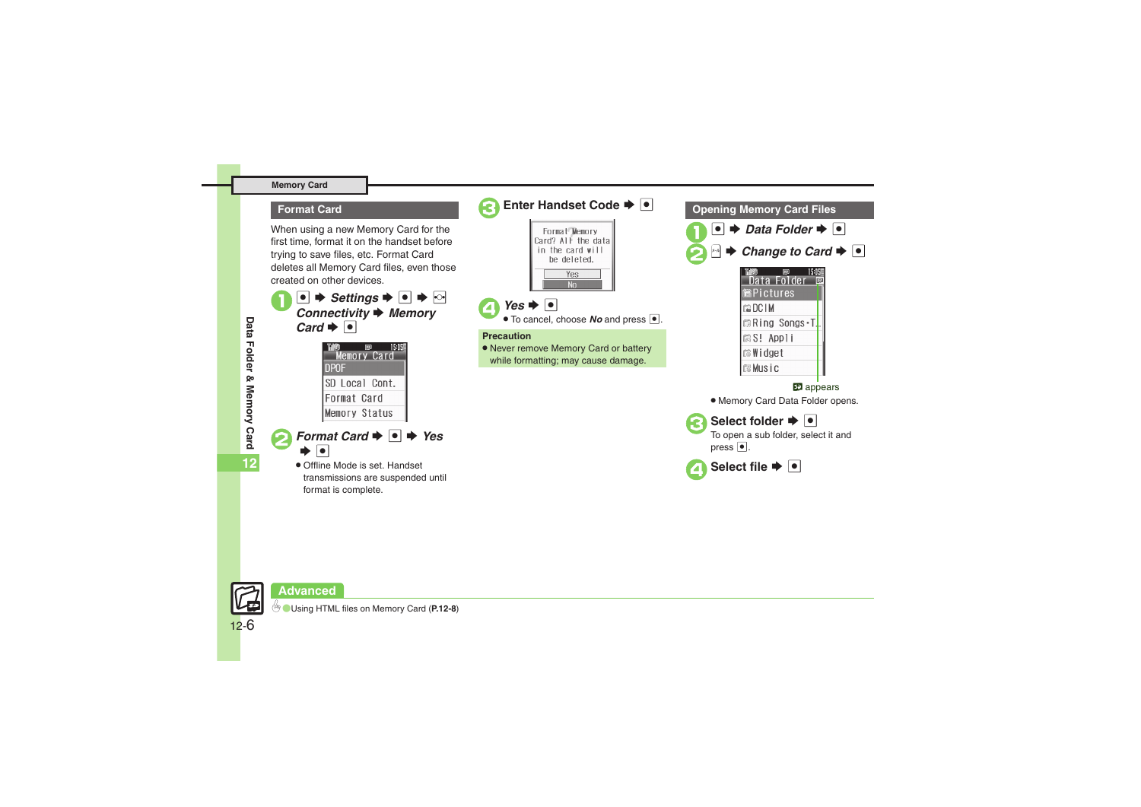#### **Memory Card**

#### **Format Card**

When using a new Memory Card for the first time, format it on the handset before trying to save files, etc. Format Card deletes all Memory Card files, even those created on other devices.



| vemor          | Card |
|----------------|------|
| npaf           |      |
| SD Local Cont. |      |
| Format Card    |      |
| emory Status   |      |

*Format Card*  $\rightarrow$   $\rightarrow$  Yes  $\blacktriangleright$   $\overline{\bullet}$ 

. Offline Mode is set. Handset transmissions are suspended until format is complete.





0([Using HTML files on Memory Card](#page-7-6) (**[P.12-8](#page-7-6)**)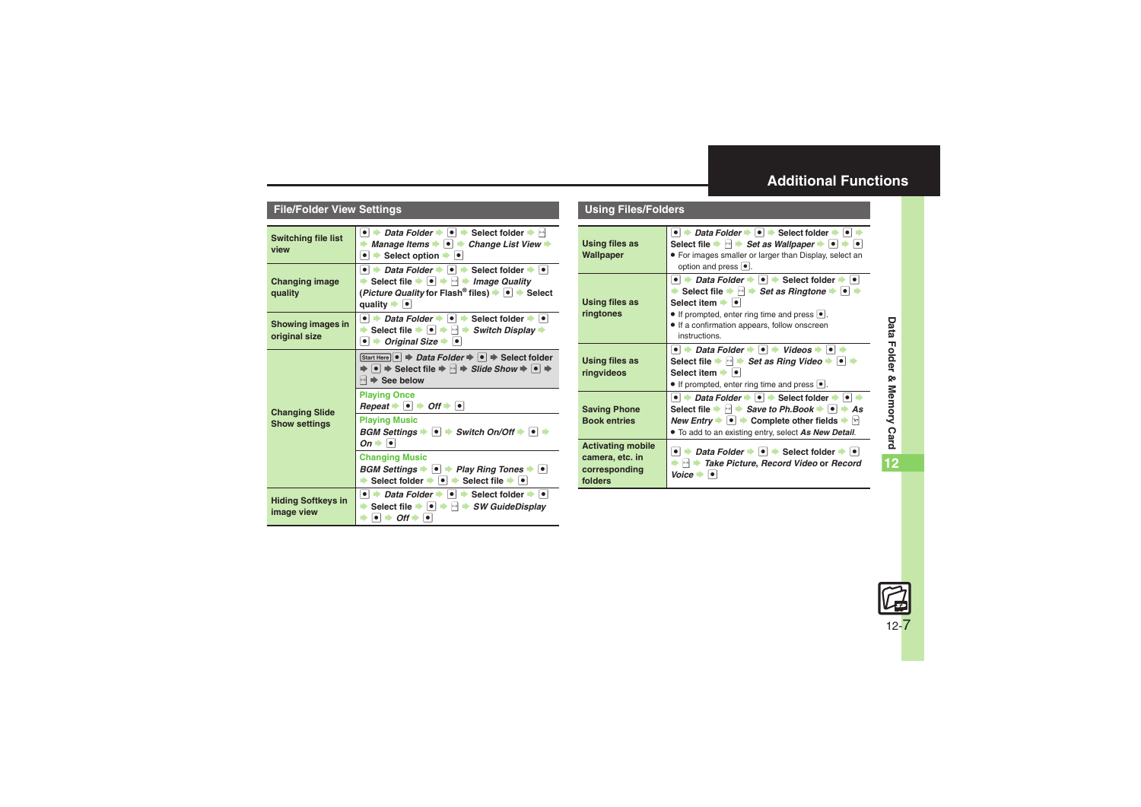# <span id="page-6-0"></span>**Additional Functions**

## **File/Folder View Settings**

<span id="page-6-4"></span><span id="page-6-3"></span><span id="page-6-2"></span><span id="page-6-1"></span>

| <b>Switching file list</b><br>view            | Data Folder $\rightarrow \mid \bullet \mid \bullet \rangle$ Select folder $\rightarrow \mid \cdot \mid$<br>. .<br>Manage Items $\bullet$ $\bullet$ $\bullet$ Change List View $\bullet$<br>Select option $\blacktriangleright$ $\lvert \bullet \rvert$                                                                                                                |
|-----------------------------------------------|-----------------------------------------------------------------------------------------------------------------------------------------------------------------------------------------------------------------------------------------------------------------------------------------------------------------------------------------------------------------------|
| <b>Changing image</b><br>quality              | • $\rightarrow$ Data Folder $\rightarrow$ • Select folder $\rightarrow$ •<br>Select file $\blacktriangleright \lceil \bullet \rceil \blacktriangleright \lceil \bullet \rceil$ <i>Image Quality</i><br>( <i>Picture Quality</i> for Flash <sup>®</sup> files) $\blacktriangleright \blacktriangleright \blacktriangleright$ Select<br>quality $\rightarrow$ $\bullet$ |
| <b>Showing images in</b><br>original size     | $\bullet$ $\bullet$ Data Folder $\bullet$ $\bullet$ $\bullet$ Select folder $\bullet$ $\bullet$<br>ightharpoonup Suitch Display is Switch Display in Switch Display in Switch Display in Suite 1, 1999<br>$\bullet$ $\bullet$ Original Size $\bullet$ $\bullet$                                                                                                       |
| <b>Changing Slide</b><br><b>Show settings</b> | Start Here $\bullet \Rightarrow$ Data Folder $\Rightarrow \bullet \Rightarrow$ Select folder<br>$\vert \bullet \vert \Rightarrow$ Select file $\Rightarrow \vert \circ \vert \Rightarrow$ Slide Show $\Rightarrow \vert \bullet \vert \Rightarrow$<br>See below                                                                                                       |
|                                               | <b>Playing Once</b><br>$Repeat \rightarrow \bullet \rightarrow Off \rightarrow \bullet$                                                                                                                                                                                                                                                                               |
|                                               | <b>Playing Music</b><br>BGM Settings → ● → Switch On/Off → ● →<br>$On \rightarrow \Box$                                                                                                                                                                                                                                                                               |
|                                               | <b>Changing Music</b><br>BGM Settings $\blacktriangleright$ $\blacktriangleright$ $\blacktriangleright$ Play Ring Tones $\blacktriangleright$ $\blacktriangleright$<br>Select folder $\bullet$ $\bullet$ $\bullet$ Select file $\bullet$ $\bullet$                                                                                                                    |
| <b>Hiding Softkeys in</b><br>image view       | $\bullet$ $\bullet$ Data Folder $\bullet$ $\bullet$ $\bullet$ Select folder $\bullet$ $\bullet$<br>Select file $\blacktriangleright$ $\blacktriangleright$ $\blacktriangleright$ $\blacktriangleright$ $\blacktriangleright$ SW GuideDisplay<br>$\bullet$ $\bullet$ Off $\bullet$ $\bullet$                                                                           |

## **Using Files/Folders**

<span id="page-6-7"></span><span id="page-6-6"></span><span id="page-6-5"></span>

| <b>Using files as</b><br>Wallpaper                                      | $\bullet$ $\bullet$ Data Folder $\bullet$ $\bullet$ $\bullet$ Select folder $\bullet$ $\bullet$<br>Select file $\blacktriangleright$ $\bowtie$ $\blacktriangleright$ <i>Set as Wallpaper</i> $\blacktriangleright$ $\blacktriangleright$<br>• For images smaller or larger than Display, select an<br>option and press <sup>.</sup> .                                                                 |
|-------------------------------------------------------------------------|-------------------------------------------------------------------------------------------------------------------------------------------------------------------------------------------------------------------------------------------------------------------------------------------------------------------------------------------------------------------------------------------------------|
| Using files as<br>ringtones                                             | $\bullet$ $\bullet$ Data Folder $\bullet$ $\bullet$ $\bullet$ Select folder $\bullet$ $\bullet$<br>Select file $\blacktriangleright$ $\blacktriangleright$ Set as Ringtone $\blacktriangleright$ $\blacktriangleright$<br>Select item $\bullet$ $\bullet$<br>• If prompted, enter ring time and press •.<br>• If a confirmation appears, follow onscreen<br>instructions.                             |
| <b>Using files as</b><br>ringvideos                                     | $\bullet$ $\bullet$ Data Folder $\bullet$ $\bullet$ $\bullet$ Videos $\bullet$ $\bullet$<br>Select file $\blacktriangleright$ $\bowtie \blacktriangleright$ Set as Ring Video $\blacktriangleright$ $\blacktriangleright$<br>Select item $\bullet$ $\bullet$<br>• If prompted, enter ring time and press $\bullet$ .                                                                                  |
| <b>Saving Phone</b><br><b>Book entries</b>                              | • $\rightarrow$ Data Folder $\rightarrow$ • $\rightarrow$ Select folder $\rightarrow$ •<br>Select file $\blacktriangleright$ $\bowtie \blacktriangleright$ Save to Ph.Book $\blacktriangleright$ $\blacktriangleright$ $\blacktriangleright$ As<br>New Entry $\rightarrow$ $\bullet$ $\rightarrow$ Complete other fields $\rightarrow \infty$<br>. To add to an existing entry, select As New Detail. |
| <b>Activating mobile</b><br>camera, etc. in<br>corresponding<br>folders | Data Folder $\bullet$ $\bullet$ $\bullet$ Select folder $\bullet$ $\bullet$<br>Take Picture, Record Video or Record<br>Voice +                                                                                                                                                                                                                                                                        |

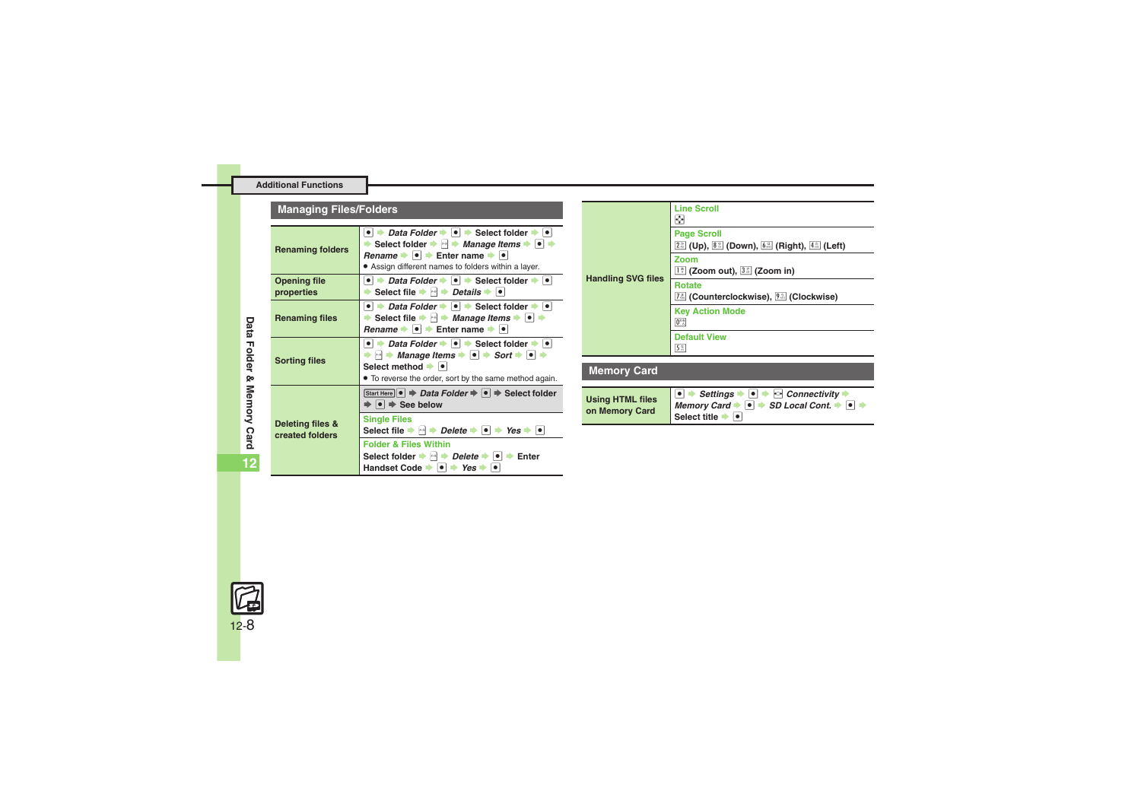|  | <b>Additional Functions</b> |
|--|-----------------------------|
|--|-----------------------------|

<span id="page-7-3"></span><span id="page-7-2"></span><span id="page-7-1"></span><span id="page-7-0"></span>

| <b>Managing Files/Folders</b>       |                                                                                                                                                                                                                                                                                                                          |
|-------------------------------------|--------------------------------------------------------------------------------------------------------------------------------------------------------------------------------------------------------------------------------------------------------------------------------------------------------------------------|
| <b>Renaming folders</b>             | Data Folder $\rightarrow \mid \bullet \mid \bullet$ Select folder $\rightarrow \mid \bullet \mid$<br>Select folder $\rightarrow$ $\rightarrow$ <i>Manage Items</i> $\rightarrow$ $\rightarrow$<br>Rename $\bullet \bullet$ $\bullet$ Enter name $\bullet \bullet$<br>• Assign different names to folders within a layer. |
| <b>Opening file</b><br>properties   | $\bullet$ $\bullet$ Data Folder $\bullet$ $\bullet$ $\bullet$ Select folder $\bullet$ $\bullet$<br>Select file $\rightarrow \rightarrow$ Details $\rightarrow \rightarrow$                                                                                                                                               |
| <b>Renaming files</b>               | • $\rightarrow$ Data Folder $\rightarrow$ • $\rightarrow$ Select folder $\rightarrow$ •<br>Select file $\Rightarrow$ $\rightarrow$ <i>Manage Items</i> $\Rightarrow$ $\bullet$ $\Rightarrow$<br>Rename $\bullet \bullet \bullet$ Enter name $\bullet \bullet$                                                            |
| <b>Sorting files</b>                | $\bullet$ $\bullet$ Data Folder $\bullet$ $\bullet$ $\bullet$ Select folder $\bullet$ $\bullet$<br>$\ket{\cdot}$ Manage Items $\Rightarrow$ $\bullet$ $\Rightarrow$ Sort $\Rightarrow$ $\boxed{\bullet}$ $\Rightarrow$<br>Select method $\bullet$ $\bullet$<br>• To reverse the order, sort by the same method again.    |
|                                     | Start Here $\ \bullet\ $ $\Rightarrow$ Data Folder $\Rightarrow$ $\ \bullet\ $ $\Rightarrow$ Select folder<br>$\Rightarrow$ $\bullet$ $\Rightarrow$ See below                                                                                                                                                            |
| Deleting files &<br>created folders | <b>Single Files</b><br>Select file $\Rightarrow$ $\Rightarrow$ Delete $\Rightarrow$ $\bullet$ $\Rightarrow$ Yes $\Rightarrow$ $\circ$                                                                                                                                                                                    |
|                                     | <b>Folder &amp; Files Within</b><br>Select folder $\rightarrow \rightarrow$ Delete $\rightarrow \rightarrow$ Fnter<br>Handset Code $\rightarrow  \bullet $ $\rightarrow$ Yes $\rightarrow  \bullet $                                                                                                                     |

<span id="page-7-6"></span><span id="page-7-5"></span>

| <b>Handling SVG files</b>                 | <b>Line Scroll</b><br>❖                                                                                                                                                                                   |
|-------------------------------------------|-----------------------------------------------------------------------------------------------------------------------------------------------------------------------------------------------------------|
|                                           | <b>Page Scroll</b><br>$[2\%]$ (Up), $[8\%]$ (Down), $[6\%]$ (Right), $[4\%]$ (Left)                                                                                                                       |
|                                           | Zoom<br>$\boxed{1}$ (Zoom out), $3\sqrt{2}$ (Zoom in)                                                                                                                                                     |
|                                           | <b>Rotate</b><br>7. (Counterclockwise), <sup>9. (Clockwise)</sup>                                                                                                                                         |
|                                           | <b>Key Action Mode</b><br>0 <sup>5</sup>                                                                                                                                                                  |
|                                           | <b>Default View</b><br>$5\frac{\pi}{n}$                                                                                                                                                                   |
| <b>Memory Card</b>                        |                                                                                                                                                                                                           |
| <b>Using HTML files</b><br>on Memory Card | Settings $\rightarrow \rightarrow \rightarrow \rightarrow$ Connectivity<br>Memory Card $\bullet$ $\bullet$ $\bullet$ SD Local Cont. $\bullet$ $\bullet$<br>Select title $\rightarrow$ $\mid \bullet \mid$ |

<span id="page-7-4"></span>